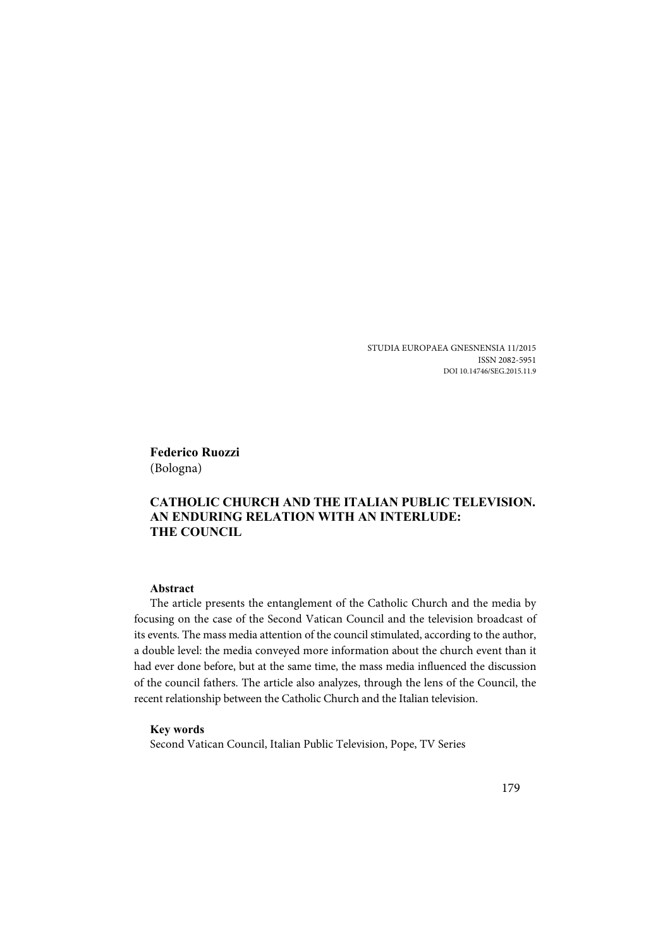STUDIA EUROPAEA GNESNENSIA 11/2015 ISSN 2082-5951 DOI 10.14746/SEG.2015.11.9

**Federico Ruozzi** (Bologna)

## **CATHOLIC CHURCH AND THE ITALIAN PUBLIC TELEVISION. AN ENDURING RELATION WITH AN INTERLUDE: THE COUNCIL**

### **Abstract**

The article presents the entanglement of the Catholic Church and the media by focusing on the case of the Second Vatican Council and the television broadcast of its events. The mass media attention of the council stimulated, according to the author, a double level: the media conveyed more information about the church event than it had ever done before, but at the same time, the mass media influenced the discussion of the council fathers. The article also analyzes, through the lens of the Council, the recent relationship between the Catholic Church and the Italian television.

#### **Key words**

Second Vatican Council, Italian Public Television, Pope, TV Series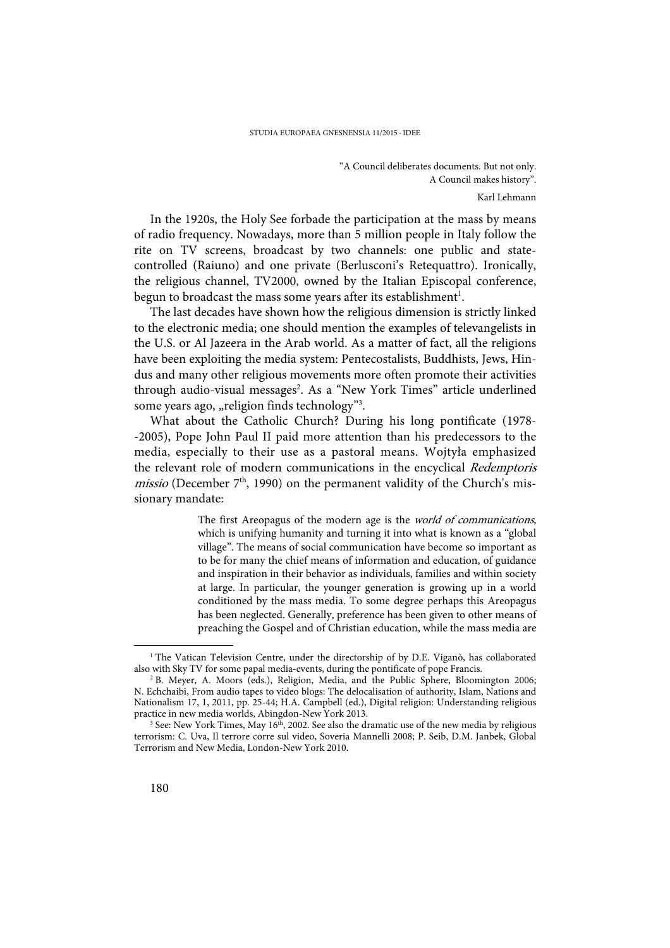"A Council deliberates documents. But not only. A Council makes history". Karl Lehmann

In the 1920s, the Holy See forbade the participation at the mass by means of radio frequency. Nowadays, more than 5 million people in Italy follow the rite on TV screens, broadcast by two channels: one public and statecontrolled (Raiuno) and one private (Berlusconi's Retequattro). Ironically, the religious channel, TV2000, owned by the Italian Episcopal conference, begun to broadcast the mass some years after its establishment<sup>1</sup>.

The last decades have shown how the religious dimension is strictly linked to the electronic media; one should mention the examples of televangelists in the U.S. or Al Jazeera in the Arab world. As a matter of fact, all the religions have been exploiting the media system: Pentecostalists, Buddhists, Jews, Hindus and many other religious movements more often promote their activities through audio-visual messages<sup>2</sup>. As a "New York Times" article underlined some years ago, "religion finds technology"3.

What about the Catholic Church? During his long pontificate (1978- -2005), Pope John Paul II paid more attention than his predecessors to the media, especially to their use as a pastoral means. Wojtyła emphasized the relevant role of modern communications in the encyclical Redemptoris *missio* (December  $7<sup>th</sup>$ , 1990) on the permanent validity of the Church's missionary mandate:

> The first Areopagus of the modern age is the *world of communications*, which is unifying humanity and turning it into what is known as a "global village". The means of social communication have become so important as to be for many the chief means of information and education, of guidance and inspiration in their behavior as individuals, families and within society at large. In particular, the younger generation is growing up in a world conditioned by the mass media. To some degree perhaps this Areopagus has been neglected. Generally, preference has been given to other means of preaching the Gospel and of Christian education, while the mass media are

<sup>&</sup>lt;sup>1</sup> The Vatican Television Centre, under the directorship of by D.E. Viganò, has collaborated also with Sky TV for some papal media-events, during the pontificate of pope Francis.

<sup>&</sup>lt;sup>2</sup> B. Meyer, A. Moors (eds.), Religion, Media, and the Public Sphere, Bloomington 2006; N. Echchaibi, From audio tapes to video blogs: The delocalisation of authority, Islam, Nations and Nationalism 17, 1, 2011, pp. 25-44; H.A. Campbell (ed.), Digital religion: Understanding religious practice in new media worlds, Abingdon-New York 2013.

 $3$  See: New York Times, May 16<sup>th</sup>, 2002. See also the dramatic use of the new media by religious terrorism: C. Uva, Il terrore corre sul video, Soveria Mannelli 2008; P. Seib, D.M. Janbek, Global Terrorism and New Media, London-New York 2010.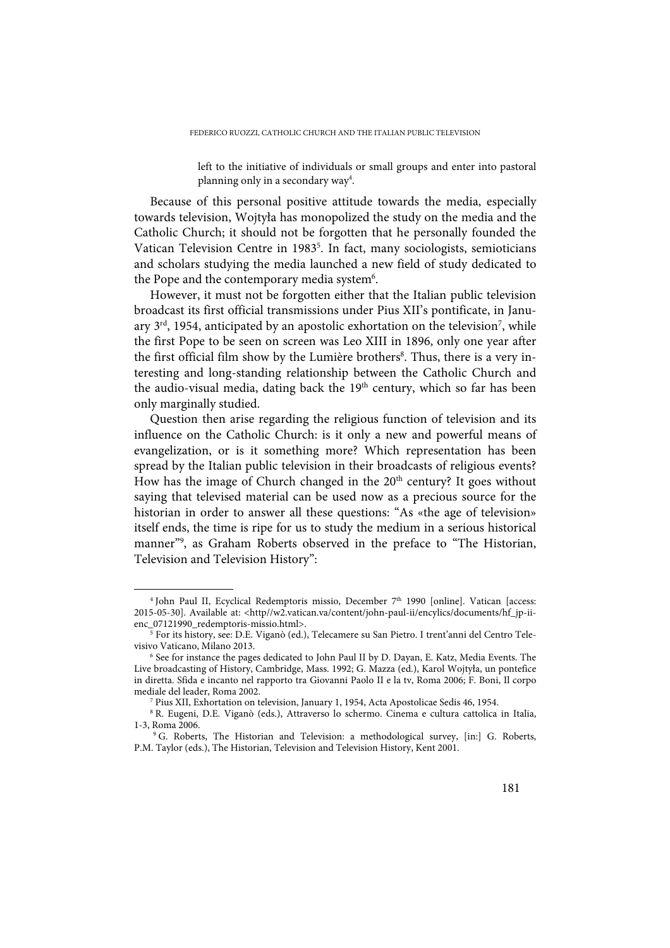left to the initiative of individuals or small groups and enter into pastoral planning only in a secondary way<sup>4</sup>.

Because of this personal positive attitude towards the media, especially towards television, Wojtyła has monopolized the study on the media and the Catholic Church; it should not be forgotten that he personally founded the Vatican Television Centre in 1983<sup>5</sup>. In fact, many sociologists, semioticians and scholars studying the media launched a new field of study dedicated to the Pope and the contemporary media system<sup>6</sup>.

However, it must not be forgotten either that the Italian public television broadcast its first official transmissions under Pius XII's pontificate, in January 3 $^{\rm rd}$ , 1954, anticipated by an apostolic exhortation on the television $^7$ , while the first Pope to be seen on screen was Leo XIII in 1896, only one year after the first official film show by the Lumière brothers<sup>8</sup>. Thus, there is a very interesting and long-standing relationship between the Catholic Church and the audio-visual media, dating back the  $19<sup>th</sup>$  century, which so far has been only marginally studied.

Question then arise regarding the religious function of television and its influence on the Catholic Church: is it only a new and powerful means of evangelization, or is it something more? Which representation has been spread by the Italian public television in their broadcasts of religious events? How has the image of Church changed in the 20<sup>th</sup> century? It goes without saying that televised material can be used now as a precious source for the historian in order to answer all these questions: "As «the age of television» itself ends, the time is ripe for us to study the medium in a serious historical manner"9 , as Graham Roberts observed in the preface to "The Historian, Television and Television History":

<sup>4</sup> John Paul II, Ecyclical Redemptoris missio, December 7th 1990 [online]. Vatican [access: 2015-05-30]. Available at: <http//w2.vatican.va/content/john-paul-ii/encylics/documents/hf\_jp-iienc\_07121990\_redemptoris-missio.html>.

<sup>5</sup> For its history, see: D.E. Viganò (ed.), Telecamere su San Pietro. I trent'anni del Centro Televisivo Vaticano, Milano 2013.

<sup>6</sup> See for instance the pages dedicated to John Paul II by D. Dayan, E. Katz, Media Events. The Live broadcasting of History, Cambridge, Mass. 1992; G. Mazza (ed.), Karol Wojtyła, un pontefice in diretta. Sfida e incanto nel rapporto tra Giovanni Paolo II e la tv, Roma 2006; F. Boni, Il corpo mediale del leader, Roma 2002.

<sup>7</sup> Pius XII, Exhortation on television, January 1, 1954, Acta Apostolicae Sedis 46, 1954.

<sup>8</sup> R. Eugeni, D.E. Viganò (eds.), Attraverso lo schermo. Cinema e cultura cattolica in Italia, 1-3, Roma 2006.

<sup>9</sup> G. Roberts, The Historian and Television: a methodological survey, [in:] G. Roberts, P.M. Taylor (eds.), The Historian, Television and Television History, Kent 2001.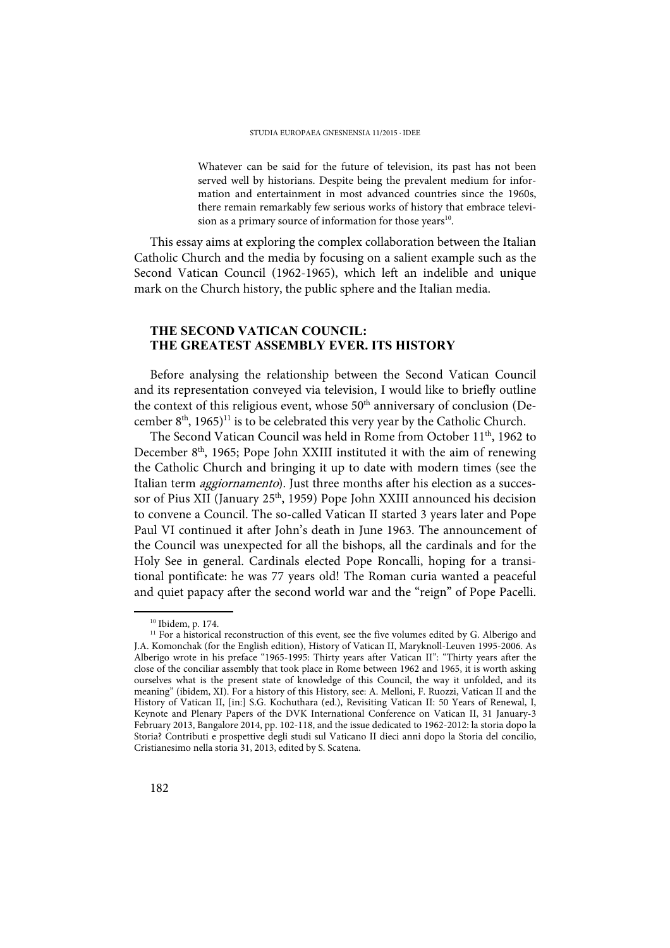Whatever can be said for the future of television, its past has not been served well by historians. Despite being the prevalent medium for information and entertainment in most advanced countries since the 1960s, there remain remarkably few serious works of history that embrace television as a primary source of information for those years<sup>10</sup>.

This essay aims at exploring the complex collaboration between the Italian Catholic Church and the media by focusing on a salient example such as the Second Vatican Council (1962-1965), which left an indelible and unique mark on the Church history, the public sphere and the Italian media.

### **THE SECOND VATICAN COUNCIL: THE GREATEST ASSEMBLY EVER. ITS HISTORY**

Before analysing the relationship between the Second Vatican Council and its representation conveyed via television, I would like to briefly outline the context of this religious event, whose 50<sup>th</sup> anniversary of conclusion (December  $8<sup>th</sup>$ , 1965)<sup>11</sup> is to be celebrated this very year by the Catholic Church.

The Second Vatican Council was held in Rome from October 11<sup>th</sup>, 1962 to December 8<sup>th</sup>, 1965; Pope John XXIII instituted it with the aim of renewing the Catholic Church and bringing it up to date with modern times (see the Italian term *aggiornamento*). Just three months after his election as a successor of Pius XII (January 25<sup>th</sup>, 1959) Pope John XXIII announced his decision to convene a Council. The so-called Vatican II started 3 years later and Pope Paul VI continued it after John's death in June 1963. The announcement of the Council was unexpected for all the bishops, all the cardinals and for the Holy See in general. Cardinals elected Pope Roncalli, hoping for a transitional pontificate: he was 77 years old! The Roman curia wanted a peaceful and quiet papacy after the second world war and the "reign" of Pope Pacelli.

<sup>10</sup> Ibidem, p. 174.

<sup>&</sup>lt;sup>11</sup> For a historical reconstruction of this event, see the five volumes edited by G. Alberigo and J.A. Komonchak (for the English edition), History of Vatican II, Maryknoll-Leuven 1995-2006. As Alberigo wrote in his preface "1965-1995: Thirty years after Vatican II": "Thirty years after the close of the conciliar assembly that took place in Rome between 1962 and 1965, it is worth asking ourselves what is the present state of knowledge of this Council, the way it unfolded, and its meaning" (ibidem, XI). For a history of this History, see: A. Melloni, F. Ruozzi, Vatican II and the History of Vatican II, [in:] S.G. Kochuthara (ed.), Revisiting Vatican II: 50 Years of Renewal, I, Keynote and Plenary Papers of the DVK International Conference on Vatican II, 31 January-3 February 2013, Bangalore 2014, pp. 102-118, and the issue dedicated to 1962-2012: la storia dopo la Storia? Contributi e prospettive degli studi sul Vaticano II dieci anni dopo la Storia del concilio, Cristianesimo nella storia 31, 2013, edited by S. Scatena.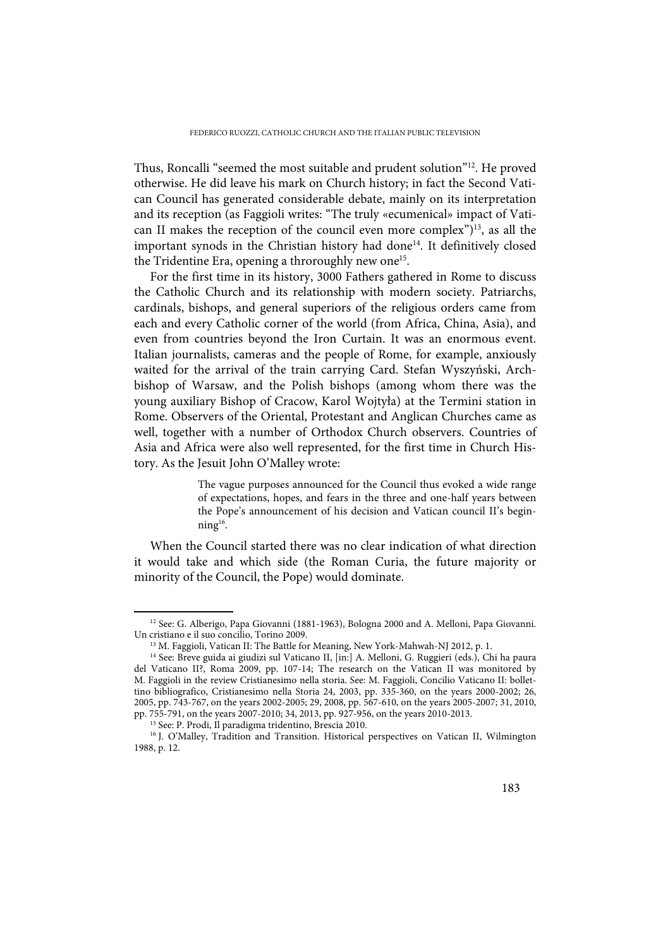Thus, Roncalli "seemed the most suitable and prudent solution"12. He proved otherwise. He did leave his mark on Church history; in fact the Second Vatican Council has generated considerable debate, mainly on its interpretation and its reception (as Faggioli writes: "The truly «ecumenical» impact of Vatican II makes the reception of the council even more complex")<sup>13</sup>, as all the important synods in the Christian history had done<sup>14</sup>. It definitively closed the Tridentine Era, opening a throroughly new one<sup>15</sup>.

For the first time in its history, 3000 Fathers gathered in Rome to discuss the Catholic Church and its relationship with modern society. Patriarchs, cardinals, bishops, and general superiors of the religious orders came from each and every Catholic corner of the world (from Africa, China, Asia), and even from countries beyond the Iron Curtain. It was an enormous event. Italian journalists, cameras and the people of Rome, for example, anxiously waited for the arrival of the train carrying Card. Stefan Wyszyński, Archbishop of Warsaw, and the Polish bishops (among whom there was the young auxiliary Bishop of Cracow, Karol Wojtyła) at the Termini station in Rome. Observers of the Oriental, Protestant and Anglican Churches came as well, together with a number of Orthodox Church observers. Countries of Asia and Africa were also well represented, for the first time in Church History. As the Jesuit John O'Malley wrote:

> The vague purposes announced for the Council thus evoked a wide range of expectations, hopes, and fears in the three and one-half years between the Pope's announcement of his decision and Vatican council II's beginning16.

When the Council started there was no clear indication of what direction it would take and which side (the Roman Curia, the future majority or minority of the Council, the Pope) would dominate.

<sup>&</sup>lt;sup>12</sup> See: G. Alberigo, Papa Giovanni (1881-1963), Bologna 2000 and A. Melloni, Papa Giovanni. Un cristiano e il suo concilio, Torino 2009.

<sup>&</sup>lt;sup>13</sup> M. Faggioli, Vatican II: The Battle for Meaning, New York-Mahwah-NJ 2012, p. 1.

<sup>&</sup>lt;sup>14</sup> See: Breve guida ai giudizi sul Vaticano II, [in:] A. Melloni, G. Ruggieri (eds.), Chi ha paura del Vaticano II?, Roma 2009, pp. 107-14; The research on the Vatican II was monitored by M. Faggioli in the review Cristianesimo nella storia. See: M. Faggioli, Concilio Vaticano II: bollettino bibliografico, Cristianesimo nella Storia 24, 2003, pp. 335-360, on the years 2000-2002; 26, 2005, pp. 743-767, on the years 2002-2005; 29, 2008, pp. 567-610, on the years 2005-2007; 31, 2010, pp. 755-791, on the years 2007-2010; 34, 2013, pp. 927-956, on the years 2010-2013.

<sup>15</sup> See: P. Prodi, Il paradigma tridentino, Brescia 2010.

<sup>&</sup>lt;sup>16</sup> J. O'Malley, Tradition and Transition. Historical perspectives on Vatican II, Wilmington 1988, p. 12.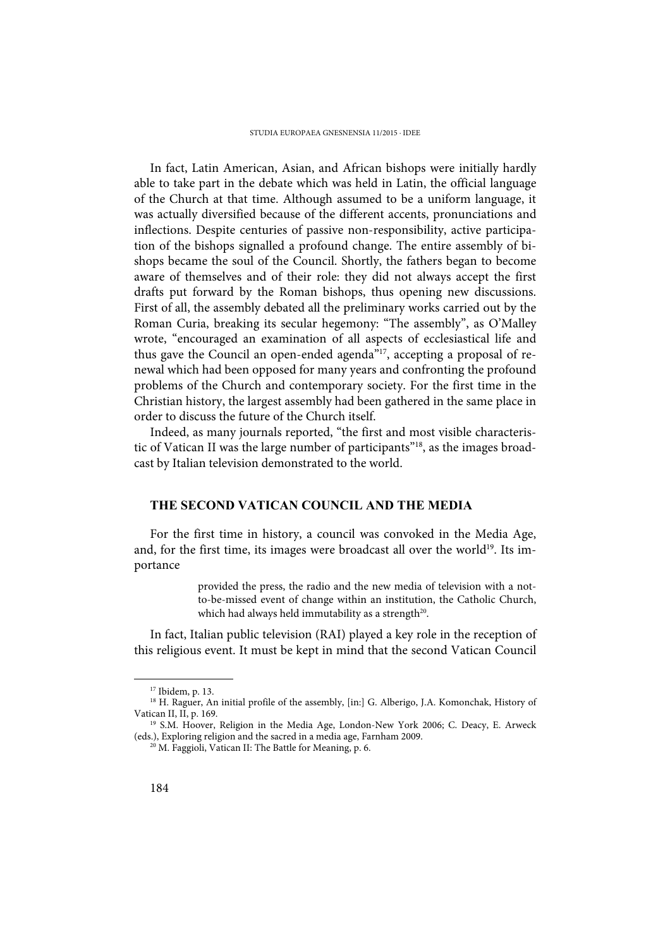In fact, Latin American, Asian, and African bishops were initially hardly able to take part in the debate which was held in Latin, the official language of the Church at that time. Although assumed to be a uniform language, it was actually diversified because of the different accents, pronunciations and inflections. Despite centuries of passive non-responsibility, active participation of the bishops signalled a profound change. The entire assembly of bishops became the soul of the Council. Shortly, the fathers began to become aware of themselves and of their role: they did not always accept the first drafts put forward by the Roman bishops, thus opening new discussions. First of all, the assembly debated all the preliminary works carried out by the Roman Curia, breaking its secular hegemony: "The assembly", as O'Malley wrote, "encouraged an examination of all aspects of ecclesiastical life and thus gave the Council an open-ended agenda<sup>"17</sup>, accepting a proposal of renewal which had been opposed for many years and confronting the profound problems of the Church and contemporary society. For the first time in the Christian history, the largest assembly had been gathered in the same place in order to discuss the future of the Church itself.

Indeed, as many journals reported, "the first and most visible characteristic of Vatican II was the large number of participants"18, as the images broadcast by Italian television demonstrated to the world.

### **THE SECOND VATICAN COUNCIL AND THE MEDIA**

For the first time in history, a council was convoked in the Media Age, and, for the first time, its images were broadcast all over the world<sup>19</sup>. Its importance

> provided the press, the radio and the new media of television with a notto-be-missed event of change within an institution, the Catholic Church, which had always held immutability as a strength<sup>20</sup>.

In fact, Italian public television (RAI) played a key role in the reception of this religious event. It must be kept in mind that the second Vatican Council

<sup>17</sup> Ibidem, p. 13.

<sup>&</sup>lt;sup>18</sup> H. Raguer, An initial profile of the assembly, [in:] G. Alberigo, J.A. Komonchak, History of Vatican II, II, p. 169.

<sup>&</sup>lt;sup>19</sup> S.M. Hoover, Religion in the Media Age, London-New York 2006; C. Deacy, E. Arweck (eds.), Exploring religion and the sacred in a media age, Farnham 2009.

<sup>&</sup>lt;sup>20</sup> M. Faggioli, Vatican II: The Battle for Meaning, p. 6.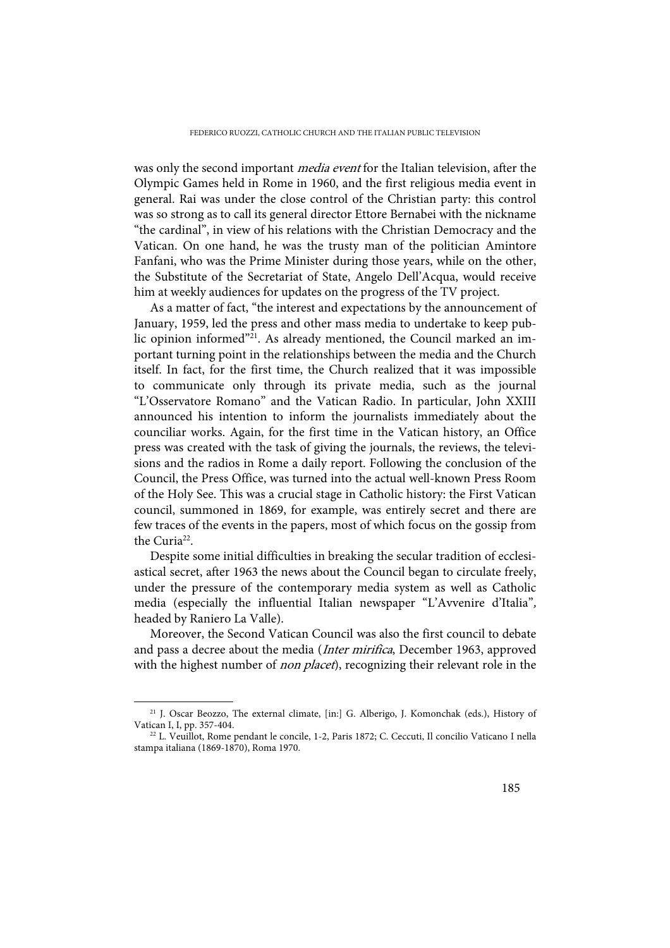was only the second important *media event* for the Italian television, after the Olympic Games held in Rome in 1960, and the first religious media event in general. Rai was under the close control of the Christian party: this control was so strong as to call its general director Ettore Bernabei with the nickname "the cardinal", in view of his relations with the Christian Democracy and the Vatican. On one hand, he was the trusty man of the politician Amintore Fanfani, who was the Prime Minister during those years, while on the other, the Substitute of the Secretariat of State, Angelo Dell'Acqua, would receive him at weekly audiences for updates on the progress of the TV project.

As a matter of fact, "the interest and expectations by the announcement of January, 1959, led the press and other mass media to undertake to keep public opinion informed"<sup>21</sup>. As already mentioned, the Council marked an important turning point in the relationships between the media and the Church itself. In fact, for the first time, the Church realized that it was impossible to communicate only through its private media, such as the journal "L'Osservatore Romano" and the Vatican Radio. In particular, John XXIII announced his intention to inform the journalists immediately about the counciliar works. Again, for the first time in the Vatican history, an Office press was created with the task of giving the journals, the reviews, the televisions and the radios in Rome a daily report. Following the conclusion of the Council, the Press Office, was turned into the actual well-known Press Room of the Holy See. This was a crucial stage in Catholic history: the First Vatican council, summoned in 1869, for example, was entirely secret and there are few traces of the events in the papers, most of which focus on the gossip from the Curia<sup>22</sup>.

Despite some initial difficulties in breaking the secular tradition of ecclesiastical secret, after 1963 the news about the Council began to circulate freely, under the pressure of the contemporary media system as well as Catholic media (especially the influential Italian newspaper "L'Avvenire d'Italia", headed by Raniero La Valle).

Moreover, the Second Vatican Council was also the first council to debate and pass a decree about the media (*Inter mirifica*, December 1963, approved with the highest number of *non placet*), recognizing their relevant role in the

<sup>21</sup> J. Oscar Beozzo, The external climate, [in:] G. Alberigo, J. Komonchak (eds.), History of Vatican I, I, pp. 357-404.

<sup>22</sup> L. Veuillot, Rome pendant le concile, 1-2, Paris 1872; C. Ceccuti, Il concilio Vaticano I nella stampa italiana (1869-1870), Roma 1970.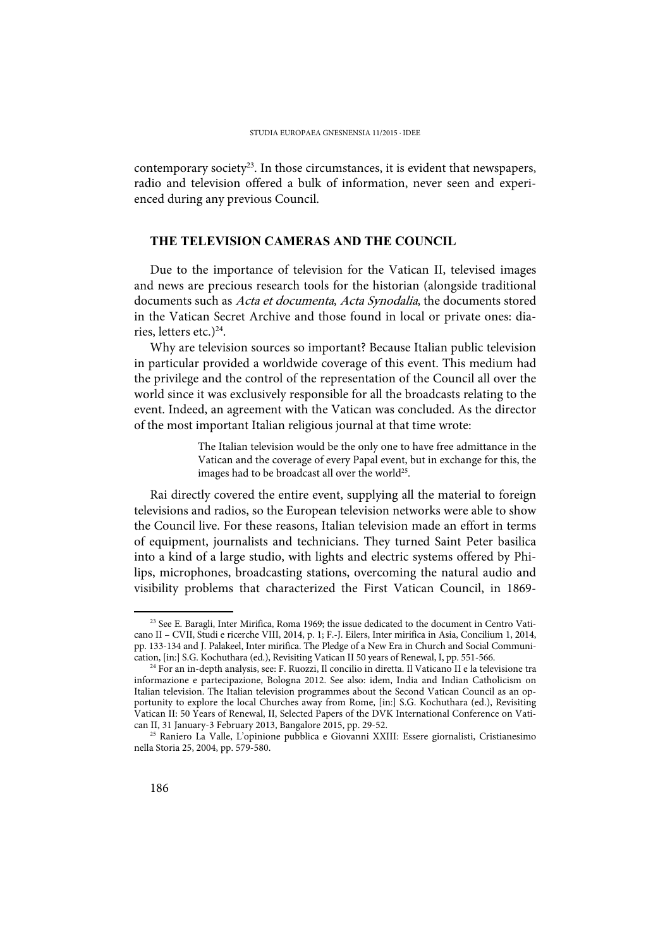contemporary society<sup>23</sup>. In those circumstances, it is evident that newspapers, radio and television offered a bulk of information, never seen and experienced during any previous Council.

## **THE TELEVISION CAMERAS AND THE COUNCIL**

Due to the importance of television for the Vatican II, televised images and news are precious research tools for the historian (alongside traditional documents such as Acta et documenta, Acta Synodalia, the documents stored in the Vatican Secret Archive and those found in local or private ones: diaries, letters etc.) $^{24}$ .

Why are television sources so important? Because Italian public television in particular provided a worldwide coverage of this event. This medium had the privilege and the control of the representation of the Council all over the world since it was exclusively responsible for all the broadcasts relating to the event. Indeed, an agreement with the Vatican was concluded. As the director of the most important Italian religious journal at that time wrote:

> The Italian television would be the only one to have free admittance in the Vatican and the coverage of every Papal event, but in exchange for this, the images had to be broadcast all over the world<sup>25</sup>.

Rai directly covered the entire event, supplying all the material to foreign televisions and radios, so the European television networks were able to show the Council live. For these reasons, Italian television made an effort in terms of equipment, journalists and technicians. They turned Saint Peter basilica into a kind of a large studio, with lights and electric systems offered by Philips, microphones, broadcasting stations, overcoming the natural audio and visibility problems that characterized the First Vatican Council, in 1869-

<sup>23</sup> See E. Baragli, Inter Mirifica, Roma 1969; the issue dedicated to the document in Centro Vaticano II – CVII, Studi e ricerche VIII, 2014, p. 1; F.-J. Eilers, Inter mirifica in Asia, Concilium 1, 2014, pp. 133-134 and J. Palakeel, Inter mirifica. The Pledge of a New Era in Church and Social Communication, [in:] S.G. Kochuthara (ed.), Revisiting Vatican II 50 years of Renewal, I, pp. 551-566.

<sup>&</sup>lt;sup>24</sup> For an in-depth analysis, see: F. Ruozzi, Il concilio in diretta. Il Vaticano II e la televisione tra informazione e partecipazione, Bologna 2012. See also: idem, India and Indian Catholicism on Italian television. The Italian television programmes about the Second Vatican Council as an opportunity to explore the local Churches away from Rome, [in:] S.G. Kochuthara (ed.), Revisiting Vatican II: 50 Years of Renewal, II, Selected Papers of the DVK International Conference on Vatican II, 31 January-3 February 2013, Bangalore 2015, pp. 29-52.

<sup>25</sup> Raniero La Valle, L'opinione pubblica e Giovanni XXIII: Essere giornalisti, Cristianesimo nella Storia 25, 2004, pp. 579-580.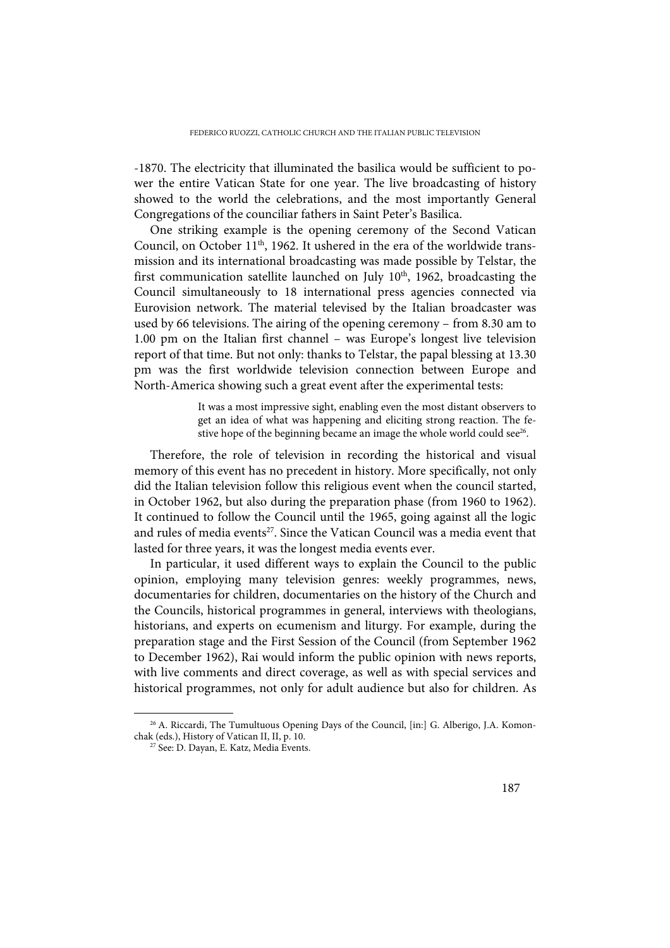-1870. The electricity that illuminated the basilica would be sufficient to power the entire Vatican State for one year. The live broadcasting of history showed to the world the celebrations, and the most importantly General Congregations of the counciliar fathers in Saint Peter's Basilica.

One striking example is the opening ceremony of the Second Vatican Council, on October  $11<sup>th</sup>$ , 1962. It ushered in the era of the worldwide transmission and its international broadcasting was made possible by Telstar, the first communication satellite launched on July  $10<sup>th</sup>$ , 1962, broadcasting the Council simultaneously to 18 international press agencies connected via Eurovision network. The material televised by the Italian broadcaster was used by 66 televisions. The airing of the opening ceremony – from 8.30 am to 1.00 pm on the Italian first channel – was Europe's longest live television report of that time. But not only: thanks to Telstar, the papal blessing at 13.30 pm was the first worldwide television connection between Europe and North-America showing such a great event after the experimental tests:

> It was a most impressive sight, enabling even the most distant observers to get an idea of what was happening and eliciting strong reaction. The festive hope of the beginning became an image the whole world could see<sup>26</sup>.

Therefore, the role of television in recording the historical and visual memory of this event has no precedent in history. More specifically, not only did the Italian television follow this religious event when the council started, in October 1962, but also during the preparation phase (from 1960 to 1962). It continued to follow the Council until the 1965, going against all the logic and rules of media events<sup>27</sup>. Since the Vatican Council was a media event that lasted for three years, it was the longest media events ever.

In particular, it used different ways to explain the Council to the public opinion, employing many television genres: weekly programmes, news, documentaries for children, documentaries on the history of the Church and the Councils, historical programmes in general, interviews with theologians, historians, and experts on ecumenism and liturgy. For example, during the preparation stage and the First Session of the Council (from September 1962 to December 1962), Rai would inform the public opinion with news reports, with live comments and direct coverage, as well as with special services and historical programmes, not only for adult audience but also for children. As

<sup>&</sup>lt;sup>26</sup> A. Riccardi, The Tumultuous Opening Days of the Council, [in:] G. Alberigo, J.A. Komonchak (eds.), History of Vatican II, II, p. 10.

<sup>&</sup>lt;sup>27</sup> See: D. Dayan, E. Katz, Media Events.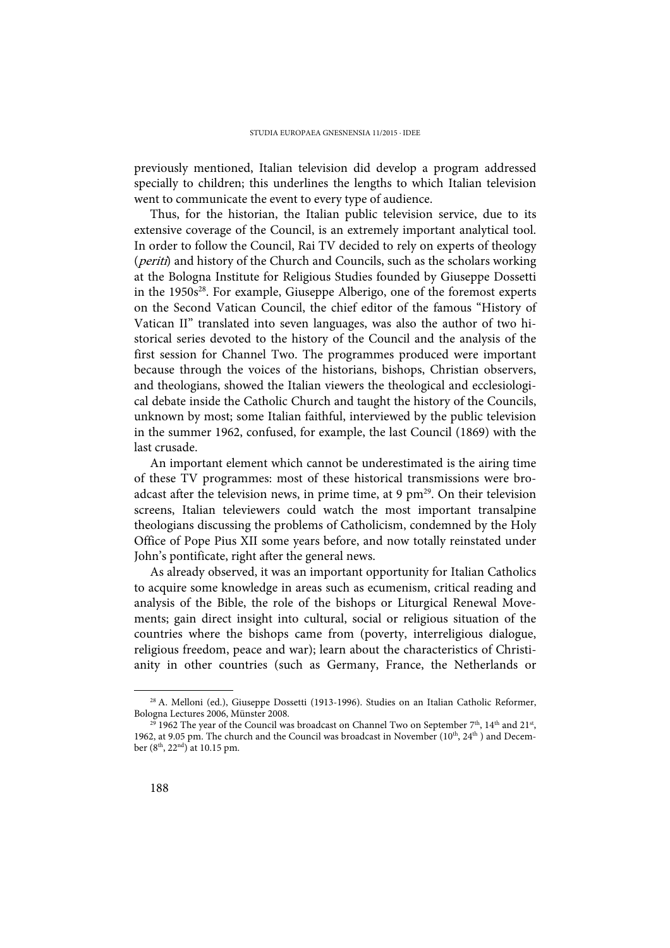previously mentioned, Italian television did develop a program addressed specially to children; this underlines the lengths to which Italian television went to communicate the event to every type of audience.

Thus, for the historian, the Italian public television service, due to its extensive coverage of the Council, is an extremely important analytical tool. In order to follow the Council, Rai TV decided to rely on experts of theology (periti) and history of the Church and Councils, such as the scholars working at the Bologna Institute for Religious Studies founded by Giuseppe Dossetti in the 1950s<sup>28</sup>. For example, Giuseppe Alberigo, one of the foremost experts on the Second Vatican Council, the chief editor of the famous "History of Vatican II" translated into seven languages, was also the author of two historical series devoted to the history of the Council and the analysis of the first session for Channel Two. The programmes produced were important because through the voices of the historians, bishops, Christian observers, and theologians, showed the Italian viewers the theological and ecclesiological debate inside the Catholic Church and taught the history of the Councils, unknown by most; some Italian faithful, interviewed by the public television in the summer 1962, confused, for example, the last Council (1869) with the last crusade.

An important element which cannot be underestimated is the airing time of these TV programmes: most of these historical transmissions were broadcast after the television news, in prime time, at 9  $pm^{29}$ . On their television screens, Italian televiewers could watch the most important transalpine theologians discussing the problems of Catholicism, condemned by the Holy Office of Pope Pius XII some years before, and now totally reinstated under John's pontificate, right after the general news.

As already observed, it was an important opportunity for Italian Catholics to acquire some knowledge in areas such as ecumenism, critical reading and analysis of the Bible, the role of the bishops or Liturgical Renewal Movements; gain direct insight into cultural, social or religious situation of the countries where the bishops came from (poverty, interreligious dialogue, religious freedom, peace and war); learn about the characteristics of Christianity in other countries (such as Germany, France, the Netherlands or

<sup>28</sup> A. Melloni (ed.), Giuseppe Dossetti (1913-1996). Studies on an Italian Catholic Reformer, Bologna Lectures 2006, Münster 2008.

 $^{29}$  1962 The year of the Council was broadcast on Channel Two on September 7<sup>th</sup>, 14<sup>th</sup> and 21<sup>st</sup>, 1962, at 9.05 pm. The church and the Council was broadcast in November ( $10^{th}$ ,  $24^{th}$ ) and December (8th, 22nd) at 10.15 pm.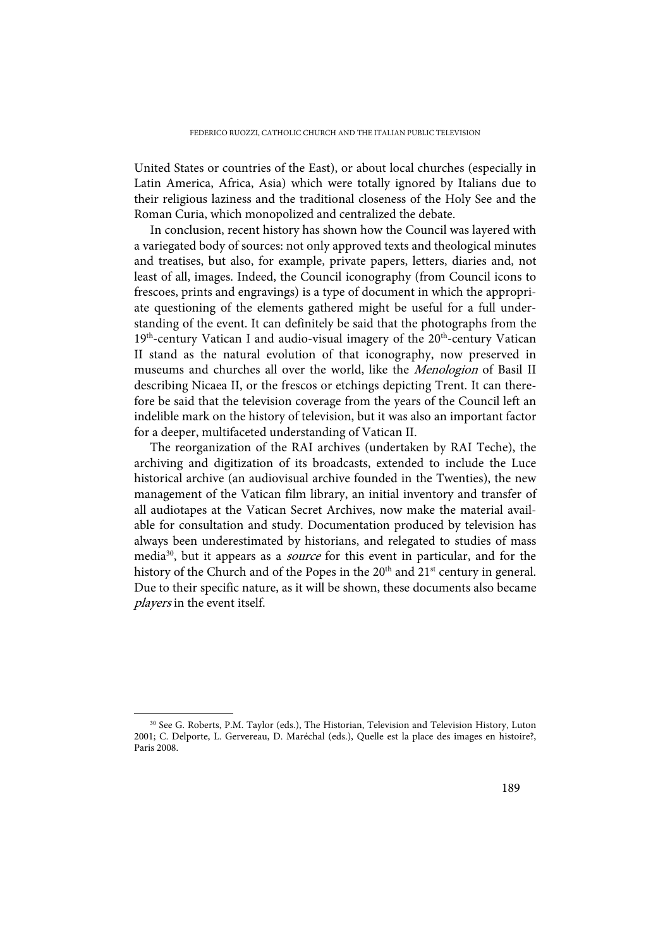United States or countries of the East), or about local churches (especially in Latin America, Africa, Asia) which were totally ignored by Italians due to their religious laziness and the traditional closeness of the Holy See and the Roman Curia, which monopolized and centralized the debate.

In conclusion, recent history has shown how the Council was layered with a variegated body of sources: not only approved texts and theological minutes and treatises, but also, for example, private papers, letters, diaries and, not least of all, images. Indeed, the Council iconography (from Council icons to frescoes, prints and engravings) is a type of document in which the appropriate questioning of the elements gathered might be useful for a full understanding of the event. It can definitely be said that the photographs from the  $19<sup>th</sup>$ -century Vatican I and audio-visual imagery of the  $20<sup>th</sup>$ -century Vatican II stand as the natural evolution of that iconography, now preserved in museums and churches all over the world, like the Menologion of Basil II describing Nicaea II, or the frescos or etchings depicting Trent. It can therefore be said that the television coverage from the years of the Council left an indelible mark on the history of television, but it was also an important factor for a deeper, multifaceted understanding of Vatican II.

The reorganization of the RAI archives (undertaken by RAI Teche), the archiving and digitization of its broadcasts, extended to include the Luce historical archive (an audiovisual archive founded in the Twenties), the new management of the Vatican film library, an initial inventory and transfer of all audiotapes at the Vatican Secret Archives, now make the material available for consultation and study. Documentation produced by television has always been underestimated by historians, and relegated to studies of mass media<sup>30</sup>, but it appears as a *source* for this event in particular, and for the history of the Church and of the Popes in the  $20<sup>th</sup>$  and  $21<sup>st</sup>$  century in general. Due to their specific nature, as it will be shown, these documents also became players in the event itself.

<sup>30</sup> See G. Roberts, P.M. Taylor (eds.), The Historian, Television and Television History, Luton 2001; C. Delporte, L. Gervereau, D. Maréchal (eds.), Quelle est la place des images en histoire?, Paris 2008.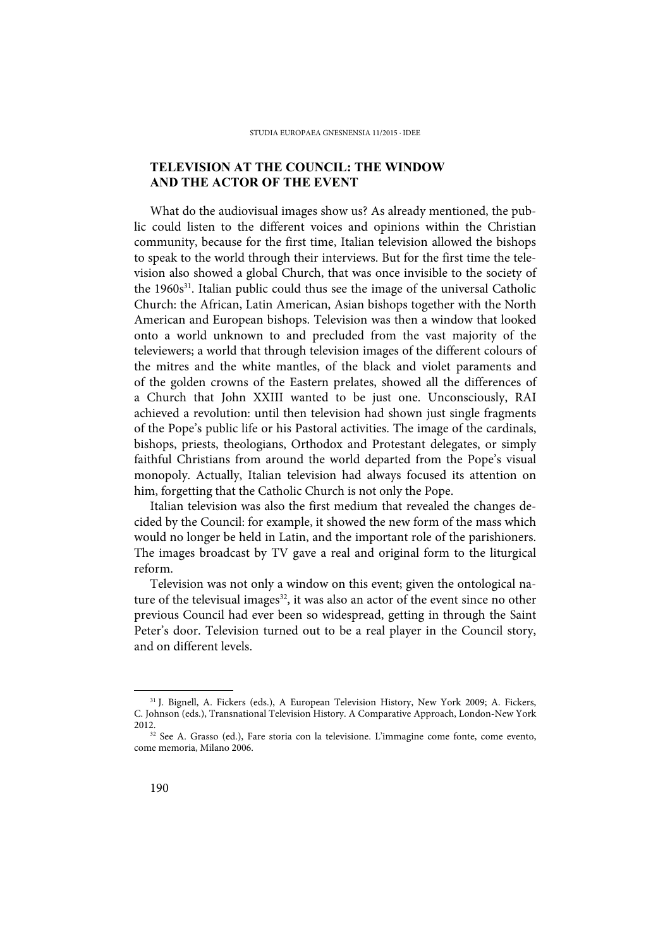# **TELEVISION AT THE COUNCIL: THE WINDOW AND THE ACTOR OF THE EVENT**

What do the audiovisual images show us? As already mentioned, the public could listen to the different voices and opinions within the Christian community, because for the first time, Italian television allowed the bishops to speak to the world through their interviews. But for the first time the television also showed a global Church, that was once invisible to the society of the  $1960s<sup>31</sup>$ . Italian public could thus see the image of the universal Catholic Church: the African, Latin American, Asian bishops together with the North American and European bishops. Television was then a window that looked onto a world unknown to and precluded from the vast majority of the televiewers; a world that through television images of the different colours of the mitres and the white mantles, of the black and violet paraments and of the golden crowns of the Eastern prelates, showed all the differences of a Church that John XXIII wanted to be just one. Unconsciously, RAI achieved a revolution: until then television had shown just single fragments of the Pope's public life or his Pastoral activities. The image of the cardinals, bishops, priests, theologians, Orthodox and Protestant delegates, or simply faithful Christians from around the world departed from the Pope's visual monopoly. Actually, Italian television had always focused its attention on him, forgetting that the Catholic Church is not only the Pope.

Italian television was also the first medium that revealed the changes decided by the Council: for example, it showed the new form of the mass which would no longer be held in Latin, and the important role of the parishioners. The images broadcast by TV gave a real and original form to the liturgical reform.

Television was not only a window on this event; given the ontological nature of the televisual images $32$ , it was also an actor of the event since no other previous Council had ever been so widespread, getting in through the Saint Peter's door. Television turned out to be a real player in the Council story, and on different levels.

<sup>31</sup> J. Bignell, A. Fickers (eds.), A European Television History, New York 2009; A. Fickers, C. Johnson (eds.), Transnational Television History. A Comparative Approach, London-New York 2012.

<sup>32</sup> See A. Grasso (ed.), Fare storia con la televisione. L'immagine come fonte, come evento, come memoria, Milano 2006.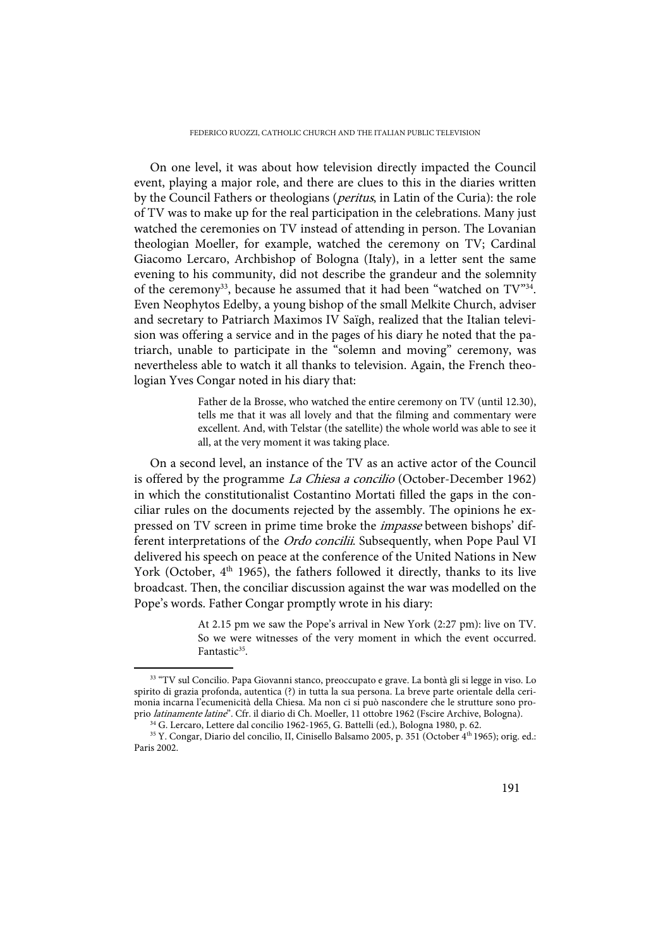FEDERICO RUOZZI, CATHOLIC CHURCH AND THE ITALIAN PUBLIC TELEVISION

On one level, it was about how television directly impacted the Council event, playing a major role, and there are clues to this in the diaries written by the Council Fathers or theologians (*peritus*, in Latin of the Curia): the role of TV was to make up for the real participation in the celebrations. Many just watched the ceremonies on TV instead of attending in person. The Lovanian theologian Moeller, for example, watched the ceremony on TV; Cardinal Giacomo Lercaro, Archbishop of Bologna (Italy), in a letter sent the same evening to his community, did not describe the grandeur and the solemnity of the ceremony<sup>33</sup>, because he assumed that it had been "watched on  $TV^{34}$ . Even Neophytos Edelby, a young bishop of the small Melkite Church, adviser and secretary to Patriarch Maximos IV Saïgh, realized that the Italian television was offering a service and in the pages of his diary he noted that the patriarch, unable to participate in the "solemn and moving" ceremony, was nevertheless able to watch it all thanks to television. Again, the French theologian Yves Congar noted in his diary that:

> Father de la Brosse, who watched the entire ceremony on TV (until 12.30), tells me that it was all lovely and that the filming and commentary were excellent. And, with Telstar (the satellite) the whole world was able to see it all, at the very moment it was taking place.

On a second level, an instance of the TV as an active actor of the Council is offered by the programme *La Chiesa a concilio* (October-December 1962) in which the constitutionalist Costantino Mortati filled the gaps in the conciliar rules on the documents rejected by the assembly. The opinions he expressed on TV screen in prime time broke the *impasse* between bishops' different interpretations of the Ordo concilii. Subsequently, when Pope Paul VI delivered his speech on peace at the conference of the United Nations in New York (October, 4<sup>th</sup> 1965), the fathers followed it directly, thanks to its live broadcast. Then, the conciliar discussion against the war was modelled on the Pope's words. Father Congar promptly wrote in his diary:

> At 2.15 pm we saw the Pope's arrival in New York (2:27 pm): live on TV. So we were witnesses of the very moment in which the event occurred. Fantastic<sup>35</sup>.

<sup>33 &</sup>quot;TV sul Concilio. Papa Giovanni stanco, preoccupato e grave. La bontà gli si legge in viso. Lo spirito di grazia profonda, autentica (?) in tutta la sua persona. La breve parte orientale della cerimonia incarna l'ecumenicità della Chiesa. Ma non ci si può nascondere che le strutture sono proprio latinamente latine". Cfr. il diario di Ch. Moeller, 11 ottobre 1962 (Fscire Archive, Bologna).

<sup>34</sup> G. Lercaro, Lettere dal concilio 1962-1965, G. Battelli (ed.), Bologna 1980, p. 62.

<sup>35</sup> Y. Congar, Diario del concilio, II, Cinisello Balsamo 2005, p. 351 (October 4th 1965); orig. ed.: Paris 2002.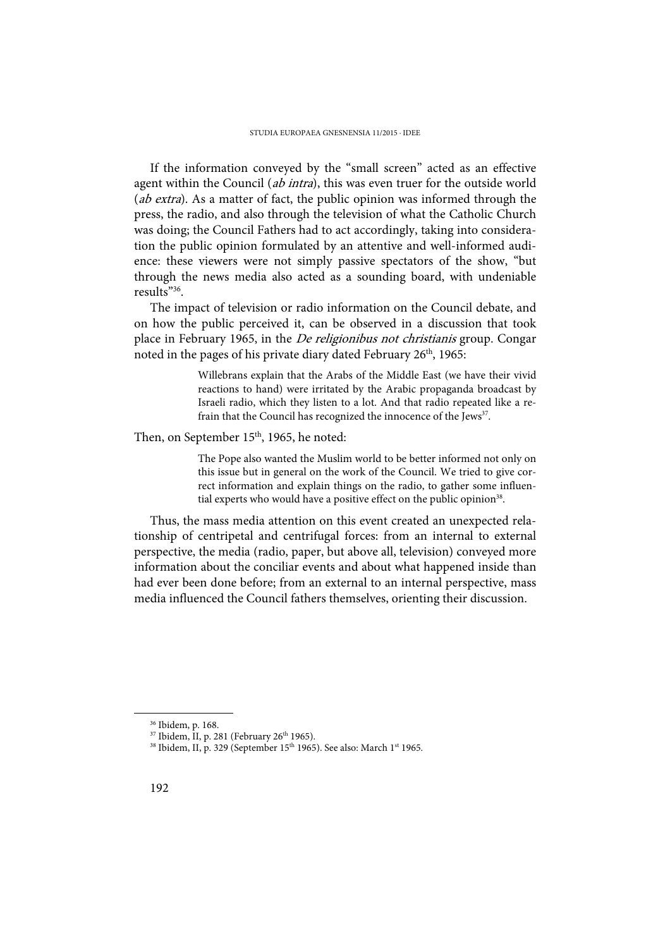If the information conveyed by the "small screen" acted as an effective agent within the Council (ab intra), this was even truer for the outside world (ab extra). As a matter of fact, the public opinion was informed through the press, the radio, and also through the television of what the Catholic Church was doing; the Council Fathers had to act accordingly, taking into consideration the public opinion formulated by an attentive and well-informed audience: these viewers were not simply passive spectators of the show, "but through the news media also acted as a sounding board, with undeniable results"36.

The impact of television or radio information on the Council debate, and on how the public perceived it, can be observed in a discussion that took place in February 1965, in the De religionibus not christianis group. Congar noted in the pages of his private diary dated February 26<sup>th</sup>, 1965:

> Willebrans explain that the Arabs of the Middle East (we have their vivid reactions to hand) were irritated by the Arabic propaganda broadcast by Israeli radio, which they listen to a lot. And that radio repeated like a refrain that the Council has recognized the innocence of the Jews<sup>37</sup>.

### Then, on September 15<sup>th</sup>, 1965, he noted:

The Pope also wanted the Muslim world to be better informed not only on this issue but in general on the work of the Council. We tried to give correct information and explain things on the radio, to gather some influential experts who would have a positive effect on the public opinion<sup>38</sup>.

Thus, the mass media attention on this event created an unexpected relationship of centripetal and centrifugal forces: from an internal to external perspective, the media (radio, paper, but above all, television) conveyed more information about the conciliar events and about what happened inside than had ever been done before; from an external to an internal perspective, mass media influenced the Council fathers themselves, orienting their discussion.

<sup>36</sup> Ibidem, p. 168.

 $37$  Ibidem, II, p. 281 (February 26<sup>th</sup> 1965).

<sup>&</sup>lt;sup>38</sup> Ibidem, II, p. 329 (September 15<sup>th</sup> 1965). See also: March 1<sup>st</sup> 1965.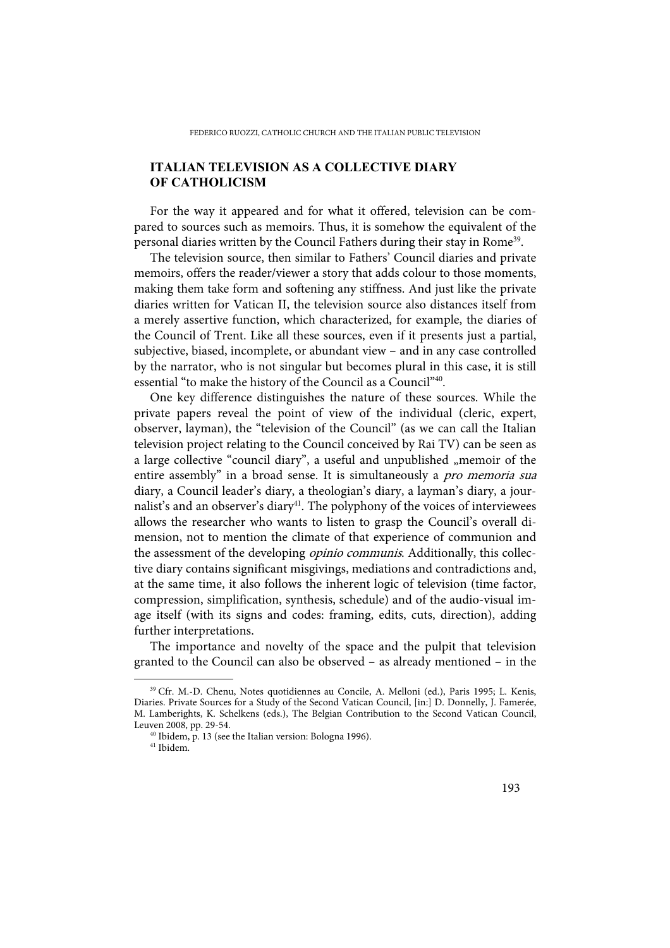# **ITALIAN TELEVISION AS A COLLECTIVE DIARY OF CATHOLICISM**

For the way it appeared and for what it offered, television can be compared to sources such as memoirs. Thus, it is somehow the equivalent of the personal diaries written by the Council Fathers during their stay in Rome<sup>39</sup>.

The television source, then similar to Fathers' Council diaries and private memoirs, offers the reader/viewer a story that adds colour to those moments, making them take form and softening any stiffness. And just like the private diaries written for Vatican II, the television source also distances itself from a merely assertive function, which characterized, for example, the diaries of the Council of Trent. Like all these sources, even if it presents just a partial, subjective, biased, incomplete, or abundant view – and in any case controlled by the narrator, who is not singular but becomes plural in this case, it is still essential "to make the history of the Council as a Council"40.

One key difference distinguishes the nature of these sources. While the private papers reveal the point of view of the individual (cleric, expert, observer, layman), the "television of the Council" (as we can call the Italian television project relating to the Council conceived by Rai TV) can be seen as a large collective "council diary", a useful and unpublished "memoir of the entire assembly" in a broad sense. It is simultaneously a *pro memoria sua* diary, a Council leader's diary, a theologian's diary, a layman's diary, a journalist's and an observer's diary<sup>41</sup>. The polyphony of the voices of interviewees allows the researcher who wants to listen to grasp the Council's overall dimension, not to mention the climate of that experience of communion and the assessment of the developing *opinio communis*. Additionally, this collective diary contains significant misgivings, mediations and contradictions and, at the same time, it also follows the inherent logic of television (time factor, compression, simplification, synthesis, schedule) and of the audio-visual image itself (with its signs and codes: framing, edits, cuts, direction), adding further interpretations.

The importance and novelty of the space and the pulpit that television granted to the Council can also be observed – as already mentioned – in the

<sup>39</sup> Cfr. M.-D. Chenu, Notes quotidiennes au Concile, A. Melloni (ed.), Paris 1995; L. Kenis, Diaries. Private Sources for a Study of the Second Vatican Council, [in:] D. Donnelly, J. Famerée, M. Lamberights, K. Schelkens (eds.), The Belgian Contribution to the Second Vatican Council, Leuven 2008, pp. 29-54.

 $40$  Ibidem, p. 13 (see the Italian version: Bologna 1996).

<sup>41</sup> Ibidem.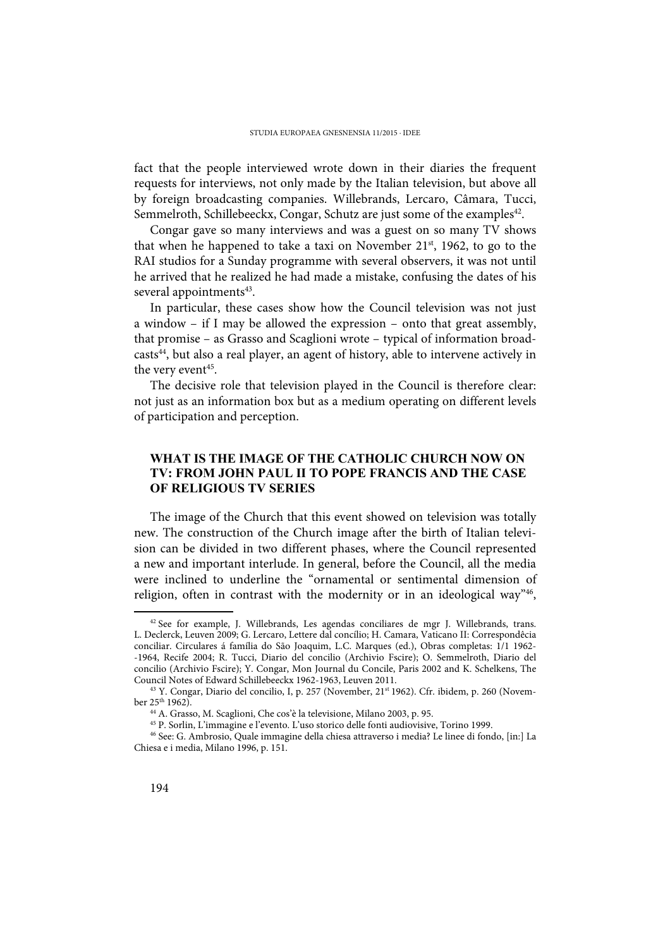fact that the people interviewed wrote down in their diaries the frequent requests for interviews, not only made by the Italian television, but above all by foreign broadcasting companies. Willebrands, Lercaro, Câmara, Tucci, Semmelroth, Schillebeeckx, Congar, Schutz are just some of the examples<sup>42</sup>.

Congar gave so many interviews and was a guest on so many TV shows that when he happened to take a taxi on November  $21<sup>st</sup>$ , 1962, to go to the RAI studios for a Sunday programme with several observers, it was not until he arrived that he realized he had made a mistake, confusing the dates of his several appointments<sup>43</sup>.

In particular, these cases show how the Council television was not just a window – if I may be allowed the expression – onto that great assembly, that promise – as Grasso and Scaglioni wrote – typical of information broadcasts<sup>44</sup>, but also a real player, an agent of history, able to intervene actively in the very event<sup>45</sup>.

The decisive role that television played in the Council is therefore clear: not just as an information box but as a medium operating on different levels of participation and perception.

## **WHAT IS THE IMAGE OF THE CATHOLIC CHURCH NOW ON TV: FROM JOHN PAUL II TO POPE FRANCIS AND THE CASE OF RELIGIOUS TV SERIES**

The image of the Church that this event showed on television was totally new. The construction of the Church image after the birth of Italian television can be divided in two different phases, where the Council represented a new and important interlude. In general, before the Council, all the media were inclined to underline the "ornamental or sentimental dimension of religion, often in contrast with the modernity or in an ideological way"<sup>46</sup>,

<sup>42</sup> See for example, J. Willebrands, Les agendas conciliares de mgr J. Willebrands, trans. L. Declerck, Leuven 2009; G. Lercaro, Lettere dal concílio; H. Camara, Vaticano II: Correspondêcia conciliar. Circulares á família do São Joaquim, L.C. Marques (ed.), Obras completas: 1/1 1962- -1964, Recife 2004; R. Tucci, Diario del concilio (Archivio Fscire); O. Semmelroth, Diario del concilio (Archivio Fscire); Y. Congar, Mon Journal du Concile, Paris 2002 and K. Schelkens, The Council Notes of Edward Schillebeeckx 1962-1963, Leuven 2011.

<sup>&</sup>lt;sup>43</sup> Y. Congar, Diario del concilio, I, p. 257 (November, 21<sup>st</sup> 1962). Cfr. ibidem, p. 260 (November  $25^{th}$  1962).

<sup>44</sup> A. Grasso, M. Scaglioni, Che cos'è la televisione, Milano 2003, p. 95.

<sup>45</sup> P. Sorlin, L'immagine e l'evento. L'uso storico delle fonti audiovisive, Torino 1999.

<sup>46</sup> See: G. Ambrosio, Quale immagine della chiesa attraverso i media? Le linee di fondo, [in:] La Chiesa e i media, Milano 1996, p. 151.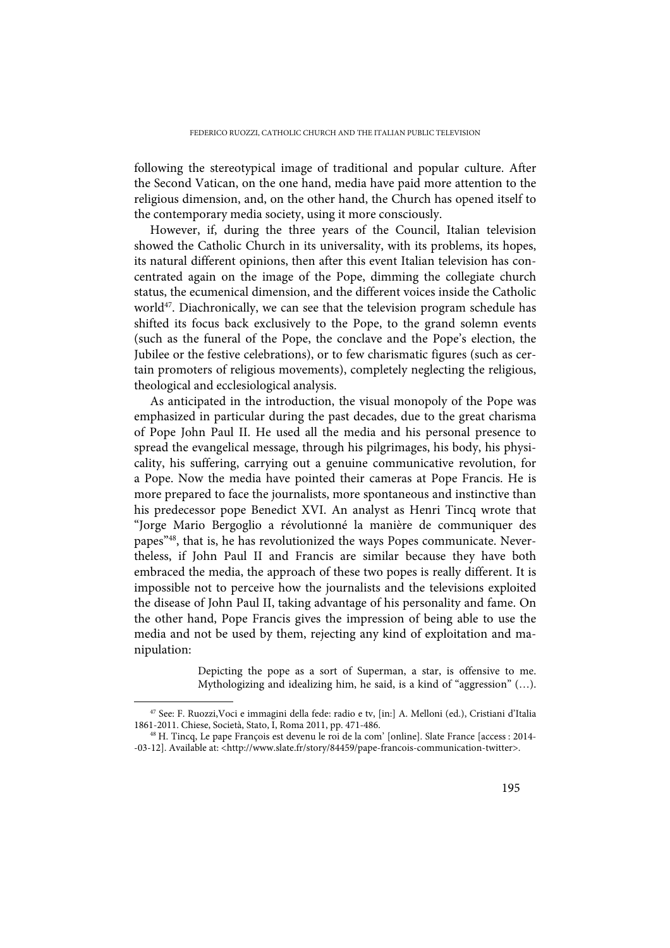following the stereotypical image of traditional and popular culture. After the Second Vatican, on the one hand, media have paid more attention to the religious dimension, and, on the other hand, the Church has opened itself to the contemporary media society, using it more consciously.

However, if, during the three years of the Council, Italian television showed the Catholic Church in its universality, with its problems, its hopes, its natural different opinions, then after this event Italian television has concentrated again on the image of the Pope, dimming the collegiate church status, the ecumenical dimension, and the different voices inside the Catholic world<sup>47</sup>. Diachronically, we can see that the television program schedule has shifted its focus back exclusively to the Pope, to the grand solemn events (such as the funeral of the Pope, the conclave and the Pope's election, the Jubilee or the festive celebrations), or to few charismatic figures (such as certain promoters of religious movements), completely neglecting the religious, theological and ecclesiological analysis.

As anticipated in the introduction, the visual monopoly of the Pope was emphasized in particular during the past decades, due to the great charisma of Pope John Paul II. He used all the media and his personal presence to spread the evangelical message, through his pilgrimages, his body, his physicality, his suffering, carrying out a genuine communicative revolution, for a Pope. Now the media have pointed their cameras at Pope Francis. He is more prepared to face the journalists, more spontaneous and instinctive than his predecessor pope Benedict XVI. An analyst as Henri Tincq wrote that "Jorge Mario Bergoglio a révolutionné la manière de communiquer des papes<sup>"48</sup>, that is, he has revolutionized the ways Popes communicate. Nevertheless, if John Paul II and Francis are similar because they have both embraced the media, the approach of these two popes is really different. It is impossible not to perceive how the journalists and the televisions exploited the disease of John Paul II, taking advantage of his personality and fame. On the other hand, Pope Francis gives the impression of being able to use the media and not be used by them, rejecting any kind of exploitation and manipulation:

> Depicting the pope as a sort of Superman, a star, is offensive to me. Mythologizing and idealizing him, he said, is a kind of "aggression" (…).

<sup>47</sup> See: F. Ruozzi,Voci e immagini della fede: radio e tv, [in:] A. Melloni (ed.), Cristiani d'Italia 1861-2011. Chiese, Società, Stato, I, Roma 2011, pp. 471-486.

<sup>48</sup> H. Tincq, Le pape François est devenu le roi de la com' [online]. Slate France [access : 2014- -03-12]. Available at: <http://www.slate.fr/story/84459/pape-francois-communication-twitter>.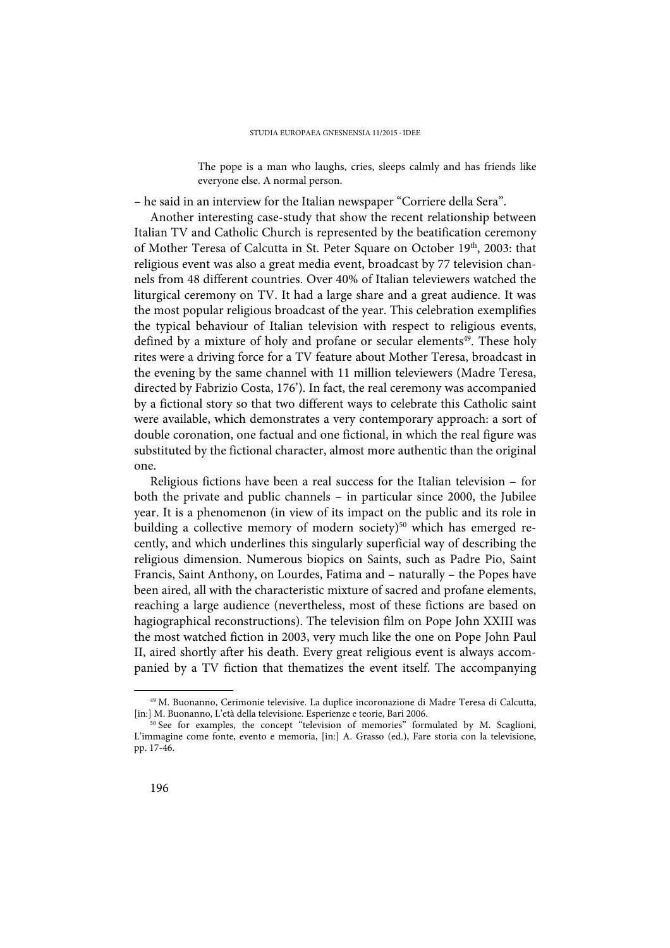The pope is a man who laughs, cries, sleeps calmly and has friends like everyone else. A normal person.

– he said in an interview for the Italian newspaper "Corriere della Sera".

Another interesting case-study that show the recent relationship between Italian TV and Catholic Church is represented by the beatification ceremony of Mother Teresa of Calcutta in St. Peter Square on October 19<sup>th</sup>, 2003: that religious event was also a great media event, broadcast by 77 television channels from 48 different countries. Over 40% of Italian televiewers watched the liturgical ceremony on TV. It had a large share and a great audience. It was the most popular religious broadcast of the year. This celebration exemplifies the typical behaviour of Italian television with respect to religious events, defined by a mixture of holy and profane or secular elements<sup>49</sup>. These holy rites were a driving force for a TV feature about Mother Teresa, broadcast in the evening by the same channel with 11 million televiewers (Madre Teresa, directed by Fabrizio Costa, 176'). In fact, the real ceremony was accompanied by a fictional story so that two different ways to celebrate this Catholic saint were available, which demonstrates a very contemporary approach: a sort of double coronation, one factual and one fictional, in which the real figure was substituted by the fictional character, almost more authentic than the original one.

Religious fictions have been a real success for the Italian television – for both the private and public channels – in particular since 2000, the Jubilee year. It is a phenomenon (in view of its impact on the public and its role in building a collective memory of modern society)<sup>50</sup> which has emerged recently, and which underlines this singularly superficial way of describing the religious dimension. Numerous biopics on Saints, such as Padre Pio, Saint Francis, Saint Anthony, on Lourdes, Fatima and – naturally – the Popes have been aired, all with the characteristic mixture of sacred and profane elements, reaching a large audience (nevertheless, most of these fictions are based on hagiographical reconstructions). The television film on Pope John XXIII was the most watched fiction in 2003, very much like the one on Pope John Paul II, aired shortly after his death. Every great religious event is always accompanied by a TV fiction that thematizes the event itself. The accompanying

<sup>49</sup> M. Buonanno, Cerimonie televisive. La duplice incoronazione di Madre Teresa di Calcutta, [in:] M. Buonanno, L'età della televisione. Esperienze e teorie, Bari 2006.

<sup>&</sup>lt;sup>50</sup> See for examples, the concept "television of memories" formulated by M. Scaglioni, L'immagine come fonte, evento e memoria, [in:] A. Grasso (ed.), Fare storia con la televisione, pp. 17-46.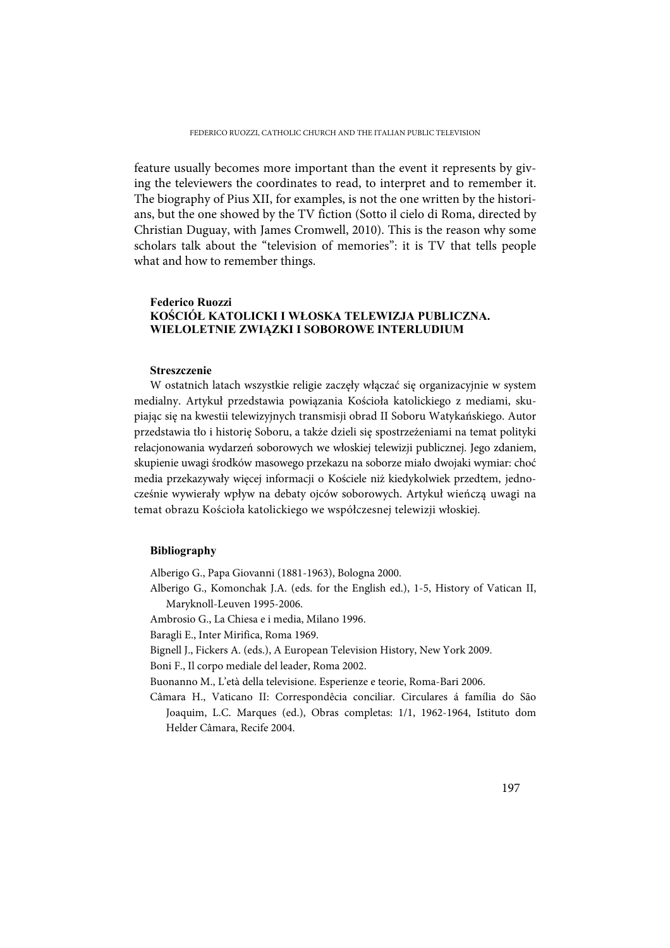feature usually becomes more important than the event it represents by giving the televiewers the coordinates to read, to interpret and to remember it. The biography of Pius XII, for examples, is not the one written by the historians, but the one showed by the TV fiction (Sotto il cielo di Roma, directed by Christian Duguay, with James Cromwell, 2010). This is the reason why some scholars talk about the "television of memories": it is TV that tells people what and how to remember things.

#### **Federico Ruozzi KOŚCIÓŁ KATOLICKI I WŁOSKA TELEWIZJA PUBLICZNA. WIELOLETNIE ZWIĄZKI I SOBOROWE INTERLUDIUM**

#### **Streszczenie**

W ostatnich latach wszystkie religie zaczęły włączać się organizacyjnie w system medialny. Artykuł przedstawia powiązania Kościoła katolickiego z mediami, skupiając się na kwestii telewizyjnych transmisji obrad II Soboru Watykańskiego. Autor przedstawia tło i historię Soboru, a także dzieli się spostrzeżeniami na temat polityki relacjonowania wydarzeń soborowych we włoskiej telewizji publicznej. Jego zdaniem, skupienie uwagi środków masowego przekazu na soborze miało dwojaki wymiar: choć media przekazywały więcej informacji o Kościele niż kiedykolwiek przedtem, jednocześnie wywierały wpływ na debaty ojców soborowych. Artykuł wieńczą uwagi na temat obrazu Kościoła katolickiego we współczesnej telewizji włoskiej.

#### **Bibliography**

Alberigo G., Papa Giovanni (1881-1963), Bologna 2000.

- Alberigo G., Komonchak J.A. (eds. for the English ed.), 1-5, History of Vatican II, Maryknoll-Leuven 1995-2006.
- Ambrosio G., La Chiesa e i media, Milano 1996.

Baragli E., Inter Mirifica, Roma 1969.

Bignell J., Fickers A. (eds.), A European Television History, New York 2009.

Boni F., Il corpo mediale del leader, Roma 2002.

Buonanno M., L'età della televisione. Esperienze e teorie, Roma-Bari 2006.

Câmara H., Vaticano II: Correspondêcia conciliar. Circulares á família do São Joaquim, L.C. Marques (ed.), Obras completas: 1/1, 1962-1964, Istituto dom Helder Câmara, Recife 2004.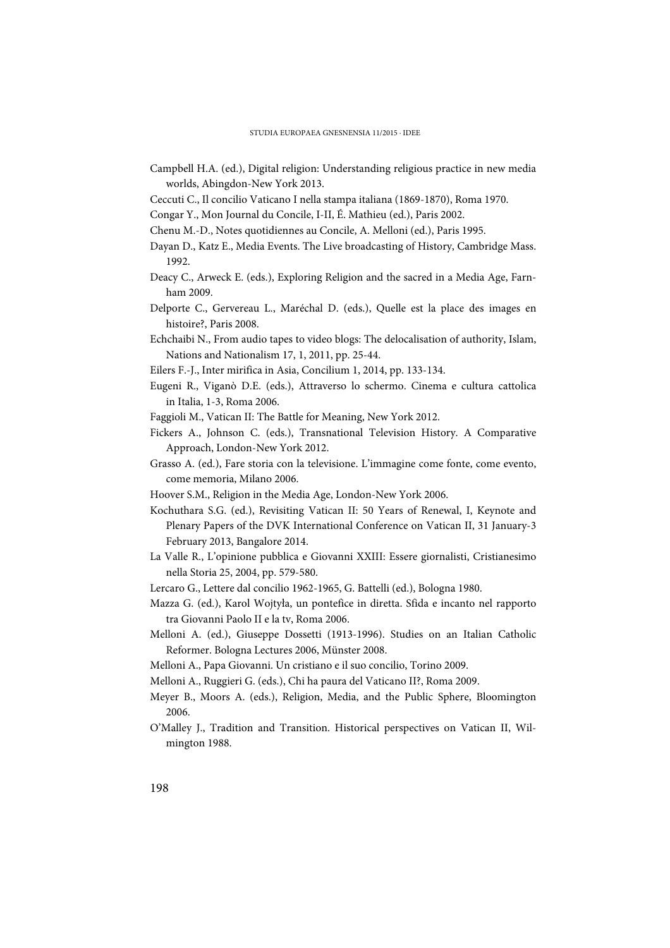- Campbell H.A. (ed.), Digital religion: Understanding religious practice in new media worlds, Abingdon-New York 2013.
- Ceccuti C., Il concilio Vaticano I nella stampa italiana (1869-1870), Roma 1970.
- Congar Y., Mon Journal du Concile, I-II, É. Mathieu (ed.), Paris 2002.
- Chenu M.-D., Notes quotidiennes au Concile, A. Melloni (ed.), Paris 1995.
- Dayan D., Katz E., Media Events. The Live broadcasting of History, Cambridge Mass. 1992.
- Deacy C., Arweck E. (eds.), Exploring Religion and the sacred in a Media Age, Farnham 2009.
- Delporte C., Gervereau L., Maréchal D. (eds.), Quelle est la place des images en histoire?, Paris 2008.
- Echchaibi N., From audio tapes to video blogs: The delocalisation of authority, Islam, Nations and Nationalism 17, 1, 2011, pp. 25-44.
- Eilers F.-J., Inter mirifica in Asia, Concilium 1, 2014, pp. 133-134.
- Eugeni R., Viganò D.E. (eds.), Attraverso lo schermo. Cinema e cultura cattolica in Italia, 1-3, Roma 2006.
- Faggioli M., Vatican II: The Battle for Meaning, New York 2012.
- Fickers A., Johnson C. (eds.), Transnational Television History. A Comparative Approach, London-New York 2012.
- Grasso A. (ed.), Fare storia con la televisione. L'immagine come fonte, come evento, come memoria, Milano 2006.
- Hoover S.M., Religion in the Media Age, London-New York 2006.
- Kochuthara S.G. (ed.), Revisiting Vatican II: 50 Years of Renewal, I, Keynote and Plenary Papers of the DVK International Conference on Vatican II, 31 January-3 February 2013, Bangalore 2014.
- La Valle R., L'opinione pubblica e Giovanni XXIII: Essere giornalisti, Cristianesimo nella Storia 25, 2004, pp. 579-580.
- Lercaro G., Lettere dal concilio 1962-1965, G. Battelli (ed.), Bologna 1980.
- Mazza G. (ed.), Karol Wojtyła, un pontefice in diretta. Sfida e incanto nel rapporto tra Giovanni Paolo II e la tv, Roma 2006.
- Melloni A. (ed.), Giuseppe Dossetti (1913-1996). Studies on an Italian Catholic Reformer. Bologna Lectures 2006, Münster 2008.
- Melloni A., Papa Giovanni. Un cristiano e il suo concilio, Torino 2009.
- Melloni A., Ruggieri G. (eds.), Chi ha paura del Vaticano II?, Roma 2009.
- Meyer B., Moors A. (eds.), Religion, Media, and the Public Sphere, Bloomington 2006.
- O'Malley J., Tradition and Transition. Historical perspectives on Vatican II, Wilmington 1988.